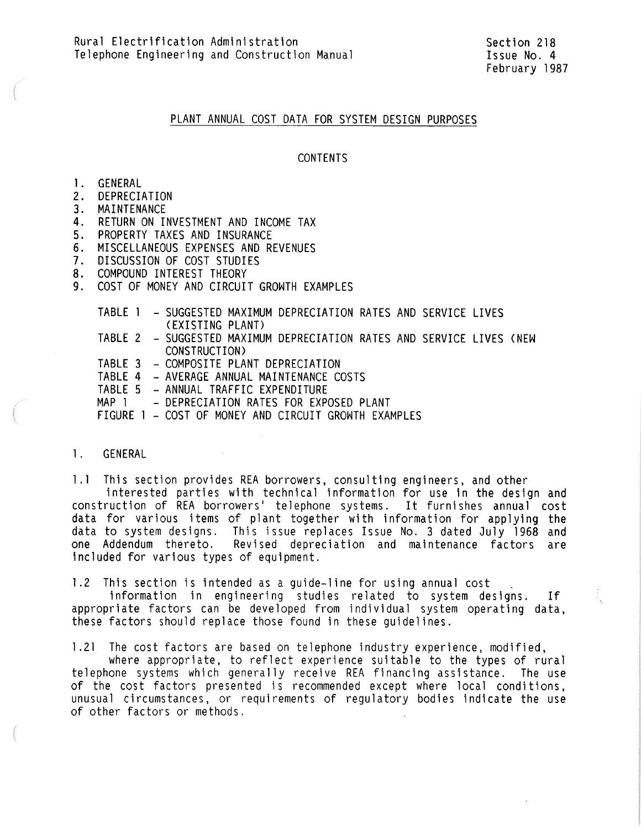#### PLANT ANNUAL COST DATA FOR SYSTEM DESIGN PURPOSES

#### CONTENTS

- l. GENERAL
- 2. DEPRECIATION
- 3. MAINTENANCE
- 4. RETURN ON INVESTMENT AND INCOME TAX
- 5. PROPERTY TAXES AND INSURANCE
- 6. MISCELLANEOUS EXPENSES AND REVENUES
- 7. DISCUSSION OF COST STUDIES
- 8. COMPOUND INTEREST THEORY
- 9. COST OF MONEY AND CIRCUIT GROWTH EXAMPLES

| TABLE 1 |  |                  | - SUGGESTED MAXIMUM DEPRECIATION RATES AND SERVICE LIVES |  |  |  |
|---------|--|------------------|----------------------------------------------------------|--|--|--|
|         |  | (EXISTING PLANT) |                                                          |  |  |  |

- TABLE 2 SUGGESTED MAXIMUM DEPRECIATION RATES AND SERVICE LIVES (NEW CONSTRUCTION)
- TABLE 3 COMPOSITE PLANT DEPRECIATION
- TABLE 4 AVERAGE ANNUAL MAINTENANCE COSTS
- TABLE 5 ANNUAL TRAFFIC EXPENDITURE
- MAP 1 DEPRECIATION RATES FOR EXPOSED PLANT
- FIGURE 1 COST OF MONEY AND CIRCUIT GROWTH EXAMPLES

#### l. GENERAL

l. l This section provides REA borrowers, consulting engineers, and other<br>interested parties with technical information for use in the design and<br>construction of REA borrowers' telephone systems. It furnishes annual cost data for various items of plant together with information for applying the data to system designs. This issue replaces Issue No. 3 dated July 1968 and<br>one Addendum thereto. Revised depreciation and maintenance factors are Revised depreciation and maintenance factors are included for various types of equipment.

1.2 This section is intended as a guide-line for using annual cost<br>information in engineering studies related to system designs. If<br>appropriate factors can be developed from individual system operating data, these factors should replace those found in these guidelines.

l .21 The cost factors are based on telephone industry experience, modified, where appropriate, to reflect experience suitable to the types of rural telephone systems which generally receive REA financing assistance. The use of the cost factors presented is recommended except where local conditions, unusual circumstances, or requirements of regulatory bodies indicate the use of other factors or methods.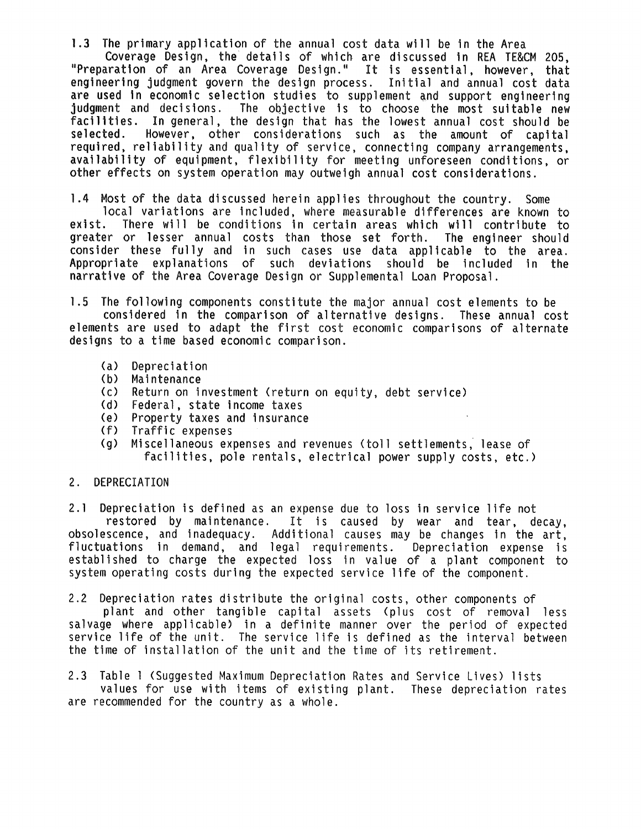1.3 The primary application of the annual cost data will be in the Area Coverage Design, the details of which are discussed in REA TE&CM 205, "Preparation of an Area Coverage Design." It is essential, however, that engineering judgment govern the design process. Initial and annual cost data are used in economic selection studies to supplement and support engineering<br>judgment and decisions. The objective is to choose the most suitable new facilities. In general, the design that has the lowest annual cost should be selected. However, other considerations such as the amount of capital required, reliability and quality of service, connecting company arrangements, availability of equipment, flexibility for meeting unforeseen conditions. or other effects on system operation may outweigh annual cost considerations.

1.4 Most of the data discussed herein applies throughout the country. Some local variations are included, where measurable differences are known to exist. There will be conditions in certain areas which will contribute to greater or lesser annual costs than those set forth. The engineer should consider these fully and in such cases use data applicable to the area. Appropriate explanations of such deviations should be included in the narrative of the Area Coverage Design or Supplemental Loan Proposal.

1.5 The following components constitute the major annual cost elements to be considered in the comparison of alternative designs. These annual cost elements are used to adapt the first cost economic comparisons of alternate designs to a time based economic comparison.

- (a) Depreciation
- (b) Maintenance
- (c) Return on investment (return on equity, debt service)
- (d) Federal, state income taxes
- (e) Property taxes and insurance
- (f) Traffic expenses
- (g) Miscellaneous expenses and revenues (toll settlements, lease of<br>facilities, pole rentals, electrical power supply costs, etc.)

### 2. DEPRECIATION

2.1 Depreciation is defined as an expense due to loss in service life not<br>restored by maintenance. It is caused by wear and tear, decay,<br>obsolescence, and inadequacy. Additional causes may be changes in the art,<br>fluctuatio fluctuations in demand, and legal requirements. established to charge the expected loss in value of a plant component to system operating costs during the expected service life of the component.

2.2 Depreciation rates distribute the original costs, other components of<br>plant and other tangible capital assets (plus cost of removal less<br>salvage where applicable) in a definite manner over the period of expected<br>servic the time of installation of the unit and the time of its retirement.

2.3 Table l (Suggested Maximum Depreciation Rates and Service Lives) lists values for use with items of existing plant. These depreciation rates are recommended for the country as a whole.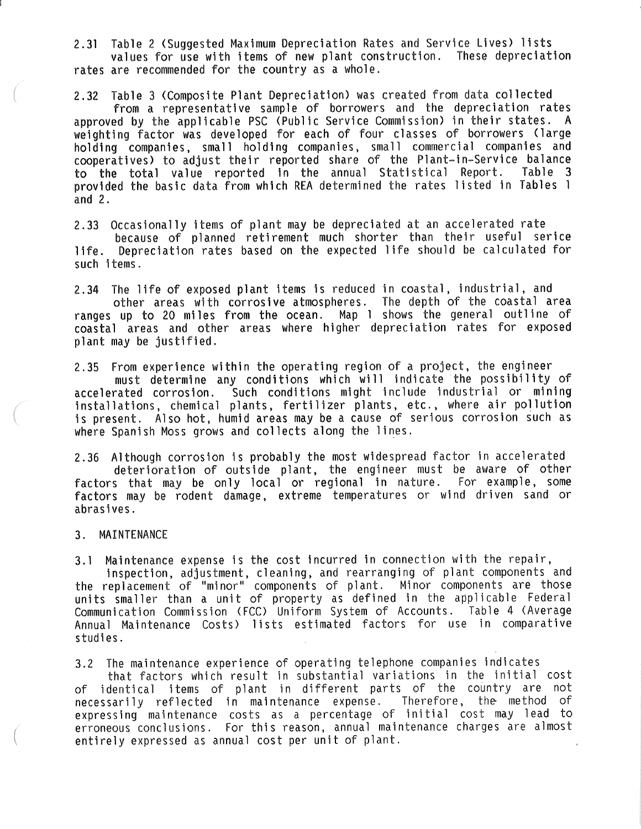2.31 Table 2 (Suggested Maximum Depreciation Rates and Service Lives) lists values for use with items of new plant construction. These depreciation rates are recommended for the country as a whole.

2.32 Table 3 (Composite Plant Depreciation) was created from data collected approved by the applicable PSC (Public Service Commission) in their states. A weighting factor was developed for each of four classes of borrowers (large holding companies, small holding companies, small commercial companies and cooperatives) to adjust their reported share of the Plant-in-Service balance to the total value reported in the annual Statistical Report. provided the basic data from which REA determined the rates listed in Tables 1 and 2.

2.33 Occasionally items of plant may be depreciated at an accelerated rate because of planned retirement much shorter than their useful serice life. Depreciation rates based on the expected life should be calculated for such items.

2.34 The life of exposed plant items is reduced in coastal, industrial, and<br>other areas with corrosive atmospheres. The depth of the coastal area<br>ranges up to 20 miles from the ocean. Map 1 shows the general outline of coastal areas and other areas where higher depreciation rates for exposed plant may be justified.

2.35 From experience within the operating region of a project, the engineer<br>must determine any conditions which will indicate the possibility of<br>accelerated corrosion. Such conditions might include industrial or mining<br>ins is present. Also hot, humid areas may be a cause of serious corrosion such as where Spanish Moss grows and collects along the lines.

2.36 Although corrosion is probably the most widespread factor in accelerated deterioration of outside plant, the engineer must be aware of other factors that may be only local or regional in nature. For example, some factors may be rodent damage, extreme temperatures or wind driven sand or abrasives.

3. MAINTENANCE

3.1 Maintenance expense is the cost incurred in connection with the repair,<br>inspection, adjustment, cleaning, and rearranging of plant components and<br>the replacement of "minor" components of plant. Minor components are tho Communication Commission (FCC) Uniform System of Accounts. Table 4 (Average Annual Maintenance Costs) lists estimated factors for use in comparative studies.

3.2 The maintenance experience of operating telephone companies indicates that factors which result in substantial variations in the initial cost of identical items of plant in different parts of the country are not necessarily reflected in maintenance expense. Therefore, the method of expressing maintenance costs as a percentage of initial cost may lead to erroneous conclusions. For this reason, annual maintenance charges are almost entirely expressed as annual cost per unit of plant.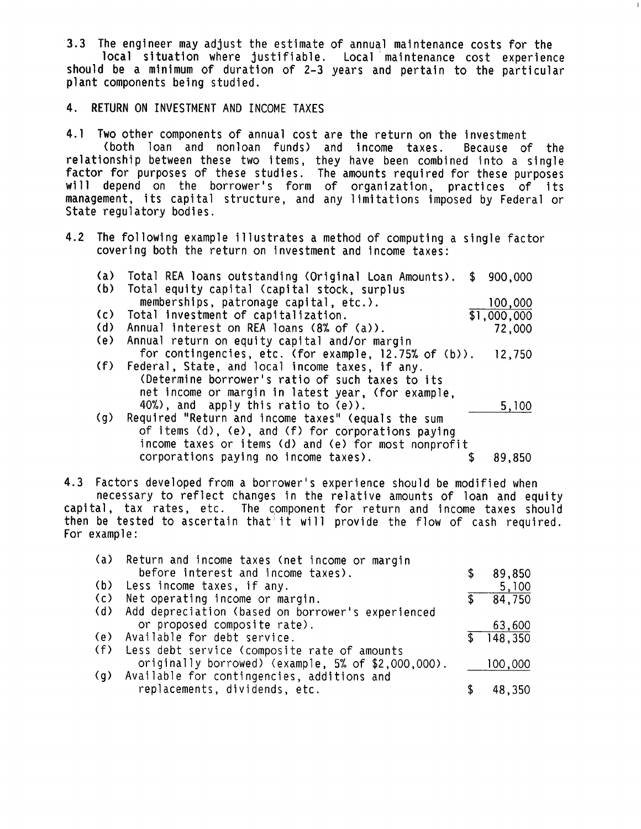3.3 The engineer may adjust the estimate of annual maintenance costs for the<br>local situation where justifiable. Local maintenance cost experience<br>should be a minimum of duration of 2-3 years and pertain to the particular<br>p

4. RETURN ON INVESTMENT AND INCOME TAXES

4.1 Two other components of annual cost are the return on the investment (both loan and nonloan funds) and income taxes. Because of the relationship between these two items, they have been combined into a single factor for purposes of these studies. The amounts required for these purposes will depend on the borrower's form of organization, practices of its management, its capital structure, and any limitations imposed by Federal or<br>State regulatory bodies.

4.2 The following example illustrates a method of computing a single factor covering both the return on investment and income taxes:

|     | (a) Total REA loans outstanding (Original Loan Amounts).            | \$900,000   |
|-----|---------------------------------------------------------------------|-------------|
|     | (b) Total equity capital (capital stock, surplus                    |             |
|     | memberships, patronage capital, etc.).                              | 100,000     |
|     | (c) Total investment of capitalization.                             | \$1,000,000 |
|     | (d) Annual interest on REA loans (8% of (a)).                       | 72,000      |
|     | (e) Annual return on equity capital and/or margin                   |             |
|     | for contingencies, etc. (for example, $12.75%$ of $(b)$ ). $12,750$ |             |
|     | (f) Federal, State, and local income taxes, if any.                 |             |
|     | (Determine borrower's ratio of such taxes to its                    |             |
|     | net income or margin in latest year, (for example,                  |             |
|     | 40%), and apply this ratio to (e)).                                 | 5,100       |
| (q) | Required "Return and income taxes" (equals the sum                  |             |
|     | of items (d), (e), and (f) for corporations paying                  |             |
|     | income taxes or items (d) and (e) for most nonprofit                |             |
|     | corporations paying no income taxes).                               | 89,850      |

4.3 Factors developed from a borrower's experience should be modified when<br>necessary to reflect changes in the relative amounts of loan and equity capital, tax rates, etc. The component for return and income taxes should then be tested to ascertain that it will provide the flow of cash required.<br>For example:

| (a) Return and income taxes (net income or margin     |   |           |
|-------------------------------------------------------|---|-----------|
| before interest and income taxes).                    | S | 89,850    |
| (b) Less income taxes, if any.                        |   | 5,100     |
| (c) Net operating income or margin.                   |   | 84,750    |
| (d) Add depreciation (based on borrower's experienced |   |           |
| or proposed composite rate).                          |   | 63,600    |
| (e) Available for debt service.                       |   | \$148,350 |
| (f) Less debt service (composite rate of amounts      |   |           |
| originally borrowed) (example, 5% of \$2,000,000).    |   | 100,000   |
| (g) Available for contingencies, additions and        |   |           |
| replacements, dividends, etc.                         |   | 48,350    |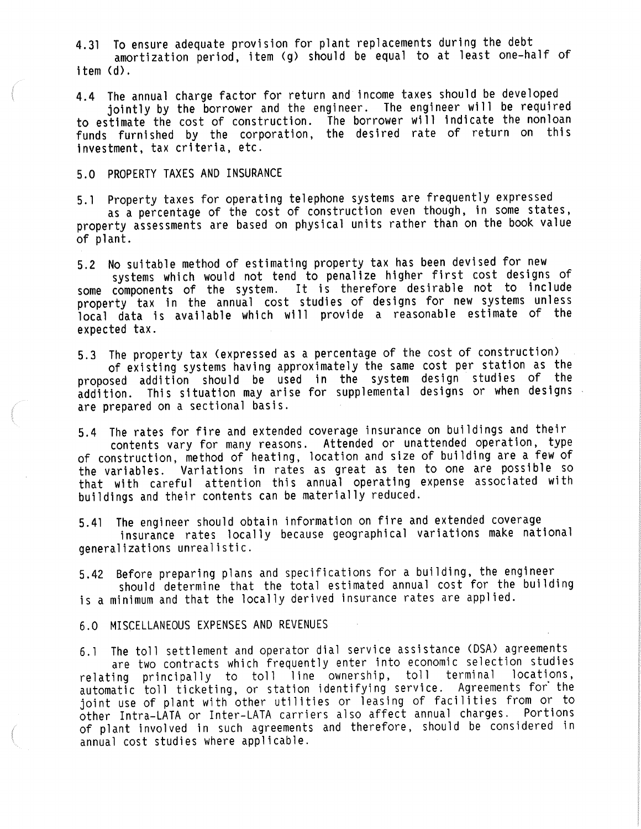4.31 To ensure adequate provision for plant replacements during the debt amortization period, item (g) should be equal to at least one-half of item (d).

4.4 The annual charge factor for return and income taxes should be developed jointly by the borrower and the engineer. The engineer will be required to estimate the cost of construction. The borrower will indicate the nonloan funds furnished by the corporation, the desired rate of return on this investment, tax criteria, etc.

5.0 PROPERTY TAXES AND INSURANCE

5.1 Property taxes for operating telephone systems are frequently expressed<br>as a percentage of the cost of construction even though, in some states,<br>property assessments are based on physical units rather than on the book of plant.

5.2 No suitable method of estimating property tax has been devised for new systems which would not tend to penalize higher first cost designs of some components of the system. It is therefore desirable not to include property tax in the annual cost studies of designs for new systems unless local data is available which will provide a reasonable estimate of the expected tax.

5.3 The property tax (expressed as a percentage of the cost of construction)<br>of existing systems having approximately the same cost per station as the proposed addition should be used in the system design studies of the<br>addition. This situation may arise for supplemental designs or when designs are prepared on a sectional basis.

5.4 The rates for fire and extended coverage insurance on buildings and their<br>contents vary for many reasons. Attended or unattended operation, type<br>of construction, method of heating, location and size of building are a f the variables. Variations in rates as great as ten to one are possible so that with careful attention this annual operating expense associated with buildings and their contents can be materially reduced.

5.41 The engineer should obtain information on fire and extended coverage insurance rates locally because geographical variations make national generalizations unrealistic.

5.42 Before preparing plans and specifications for a building, the engineer should determine that the total estimated annual cost for the building is a minimum and that the locally derived insurance rates are applied.

6.0 MISCELLANEOUS EXPENSES AND REVENUES

6.1 The toll settlement and operator dial service assistance (DSA) agreements are two contracts which frequently enter into economic selection studies relating principally to toll line ownership, toll terminal locations, automatic toll ticketing, or station identifying service. Agreements for the joint use of plant with other utilities or leasing of facilities from or to other Intra-LATA or Inter-LATA carriers also affect annual charges. Portions of plant involved in such agreements and therefore, should be considered in annual cost studies where applicable.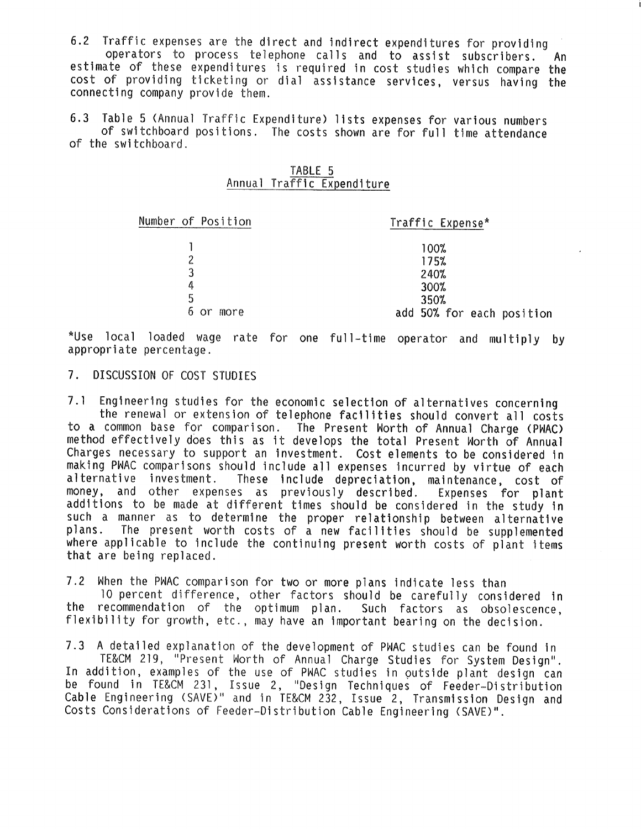6.2 Traffic expenses are the direct and indirect expenditures for providing operators to process telephone calls and to assist subscribers. An estimate of these expenditures is required in cost studies which compare the cost of providing ticketing or dial assistance services, versus having the connecting company provide them.

6.3 Table 5 (Annual Traffic Expenditure) lists expenses for various numbers of switchboard positions. The costs shown are for full time attendance of the switchboard.

TABLE 5 Annual Traffic Expenditure

| Number of Position | Traffic Expense*          |
|--------------------|---------------------------|
|                    | 100%                      |
|                    | 175%                      |
| 3                  | 240%                      |
| 4                  | 300%                      |
| 5                  | 350%                      |
| 6 or<br>more       | add 50% for each position |

\*Use local loaded wage rate for one full-time operator and multiply by<br>appropriate\_percentage.

## 7. DISCUSSION OF COST STUDIES

7.1 Engineering studies for the economic selection of alternatives concerning<br>the renewal or extension of telephone facilities should convert all costs<br>to a common base for comparison. The Present Worth of Annual Charge (P making PWAC comparisons should include all expenses incurred by virtue of each<br>alternative investment. These include depreciation, maintenance, cost of money, and other expenses as previously described. Expenses for plant additions to be made at different times should be considered in the study in such a manner as to determine the proper relationship between alternative<br>plans, The present worth costs of a new facilities should be supplemented The present worth costs of a new facilities should be supplemented where applicable to include the continuing present worth costs of plant items that are being replaced.

7.2 When the PWAC comparison for two or more plans indicate less than 10 percent difference, other factors should be carefully considered in the recommendation of the optimum plan. Such factors as obsolescence, flexibility for growth, etc., may have an important bearing on the decision.

7.3 A detailed explanation of the development of PWAC studies can be found in TE&CM 219, "Present Worth of Annual Charge Studies for System Design".<br>In addition, examples of the use of PWAC studies in outside plant design can be found in TE&CM 231, Issue 2, "Design Techniques of Feeder-Distribution<br>Cable Engineering (SAVE)" and in TE&CM 232, Issue 2, Transmission Design and<br>Costs Considerations of Feeder-Distribution Cable Engineering (SAVE)".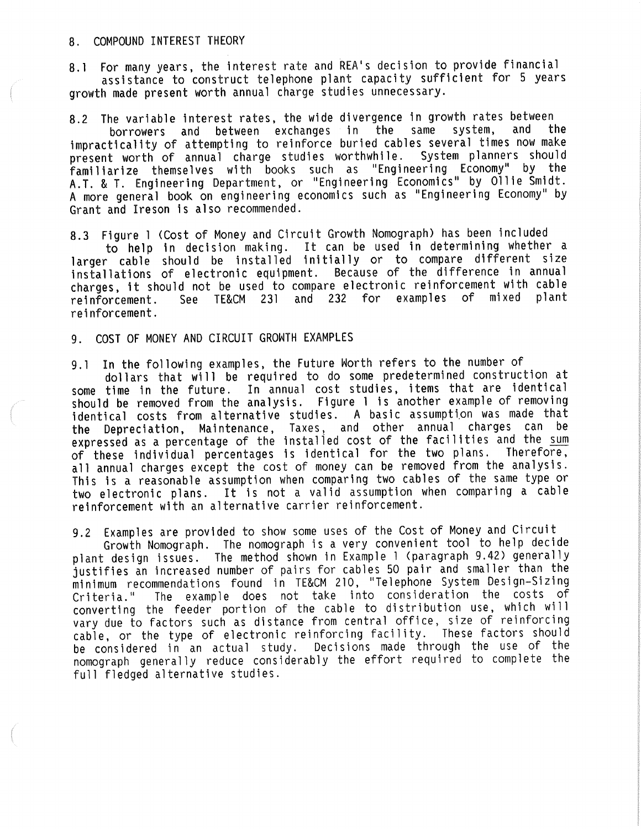8.1 For many years, the interest rate and REA's decision to provide financial<br>assistance to construct telephone plant capacity sufficient for 5 years growth made present worth annual charge studies unnecessary.

8.2 The variable interest rates, the wide divergence in growth rates between borrowers and between exchanges in the same system, and the impracticality of attempting to reinforce buried cables several times now make presen present worth of annual charge studies worthwhile. familiarize themselves with books such as "Engineering Economy" by the A.T. & T. Engineering Department, or "Engineering Economics" by Ollie Smidt. A more general book on engineering economics such as "Engineering Economy" by Grant and Ireson is also recommended.

8.3 Figure l (Cost of Money and Circuit Growth Nomograph) has been included to help in decision making. It can be used in determining whether a larger cable should be installed initially or to compare different size installations of electronic equipment. Because of the difference in annual charges, it should not be used to compare electronic reinforcement with cable and 232 for examples of reinforcement.

## 9. COST OF MONEY AND CIRCUIT GROWTH EXAMPLES

9.1 In the following examples, the Future Worth refers to the number of dollars that will be required to do some predetermined construction at some time in the future. In annual cost studies, items that are identical should be removed from the analysis. Figure 1 is another example of removing identical costs from alternative studies. A basic assumption was made that the Depreciation, Maintenance, Taxes, and other annual charges can be expressed as a percentage of the installed cost of the facilities and the sum<br>of these individual percentages is identical for the two plans. Therefore, of these individual percentages is identical for the two plans. all annual charges except the cost of money can be removed from the analysis. This is a reasonable assumption when comparing two cables of the same type or two electronic plans. It is not a valid assumption when comparing a cable reinforcement with an alternative carrier reinforcement.

9.2 Examples are provided to show some uses of the Cost of Money and Circuit<br>Growth Nomograph. The nomograph is a very convenient tool to help decide<br>plant design issues. The method shown in Example 1 (paragraph 9.42) gene justifies an increased number of pairs for cables 50 pair and smaller than the minimum recommendations found in TE&CM 210, "Telephone System Design-Sizing Criteria." The example does not take into consideration the costs of converting the feeder portion of the cable to distribution use, which will vary due to factors such as distance from central office, size of reinforcing cable, or the type of electronic reinforcing facility. These factors should be considered in an actual study. Decisions made through the use of the nomograph generally reduce considerably the effort required to complete the full fledged alternative studies.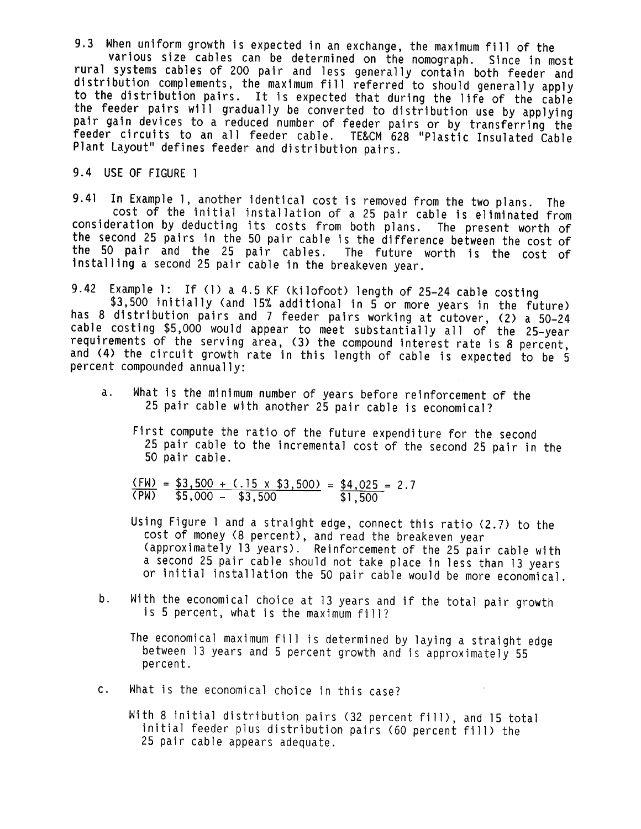9.3 When uniform growth is expected in an exchange, the maximum fill of the various size cables can be determined on the nomograph. Since in most rural systems cables of 200 pair and less generally contain both feeder and distribution complements, the maximum fill referred to should generally apply to the distribution pairs. It is expected that during the life of the cable the feeder pairs will gradually be converted to distribution use by applying pair gain devices to a reduced number of feeder pairs or by transferring the feeder circuits to an all feeder cable. TE&CM 628 "Plastic Insulated Cable Plant Layout" defines feeder and distribution pairs.

9.4 USE OF FIGURE l

9.41 In Example l, another identical cost is removed from the two plans. The cost of the initial installation of a 25 pair cable is eliminated from consideration by deducting its costs from both plans. The present worth of the second 25 pairs in the 50 pair cable is the difference between the cost of the 50 pair and the 25 pair cables. The future worth is the cost of installing a second 25 pair cable in the breakeven year.

9.42 Example 1: If (1) a 4.5 KF (kilofoot) length of 25-24 cable costing \$3,500 initially (and 15% additional in 5 or more years in the future) has 8 distribution pairs and 7 feeder pairs working at cutover, (2) a 50-24 cable costing \$5,000 would appear to meet substantially all of the 25-year requirements of the serving area, (3) the compound interest rate is 8 percent, and (4) the circuit growth rate in this length of cable is expected to be 5 percent compounded annually:

- a. What is the minimum number of years before reinforcement of the 25 pair cable with another 25 pair cable is economical?
	- First compute the ratio of the future expenditure for the second 25 pair cable to the incremental cost of the second 25 pair in the 50 pair cable.

 $\frac{(FW)}{(PM)}$  =  $\frac{$3,500 + (.15 \times $3,500)}{$3,500}$  =  $\frac{$4,025}{$1,500}$  = 2.7  $(PW)$   $\overline{55,000 - 53,500}$ 

- Using Figure l and a straight edge, connect this ratio (2.7) to the cost of money (8 percent), and read the breakeven year (approximately 13 years). Reinforcement of the 25 pair cable with a second 25 pair cable should not take place in less than 13 years or initial installation the 50 pair cable would be more economical.
- b. With the economical choice at 13 years and if the total pair growth is 5 percent, what is the maximum fill?

The economical maximum fill is determined by laying a straight edge between 13 years and 5 percent growth and is approximately 55 percent.

c. What is the economical choice in this case?

With 8 initial distribution pairs (32 percent fill), and 15 total initial feeder plus distribution pairs (60 percent fill) the 25 pair cable appears adequate.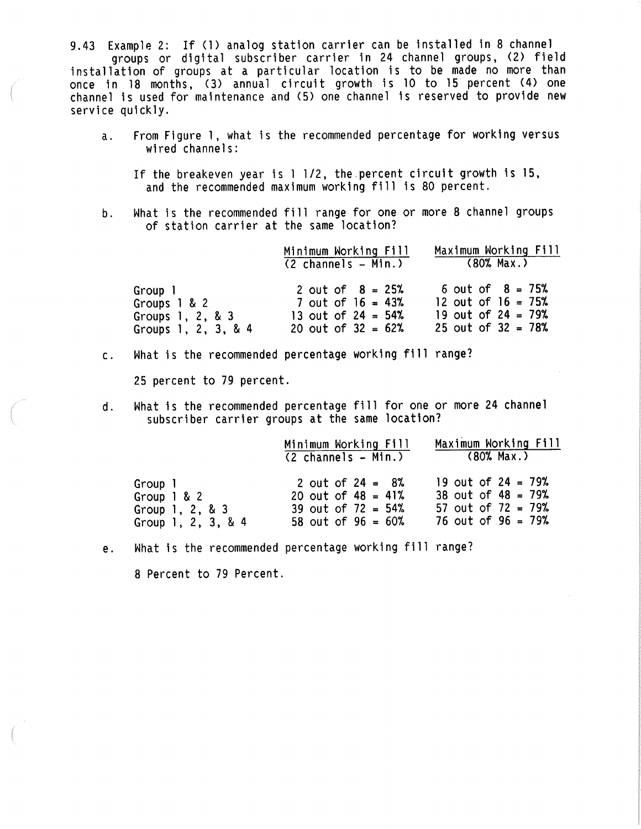9.43 Example 2: If (1) analog station carrier can be installed in 8 channel<br>groups or digital subscriber carrier in 24 channel groups, (2) field<br>installation of groups at a particular location is to be made no more than once in 18 months, (3) annual circuit growth is 10 to 15 percent (4) one channel is used for maintenance and (5) one channel is reserved to provide new service quickly.

a. From Figure 1, what is the recommended percentage for working versus wired channels:

If the breakeven year is 1 1/2, the percent circuit growth is 15, and the recommended maximum working fill is 80 percent.

b. What is the recommended fill range for one or more 8 channel groups of station carrier at the same location?

|                     | Minimum Working Fill    | Maximum Working Fill    |  |  |  |
|---------------------|-------------------------|-------------------------|--|--|--|
|                     | $(2$ channels - Min.)   | (80% Max.)              |  |  |  |
| Group 1             | 2 out of $8 = 25%$      | 6 out of $8 = 75%$      |  |  |  |
| Groups $1 & 2$      | 7 out of $16 = 43%$     | 12 out of $16 = 75%$    |  |  |  |
| Groups $1, 2, 8, 3$ | 13 out of $24 = 54\%$   | 19 out of $24 = 79%$    |  |  |  |
| Groups 1, 2, 3, & 4 | $20$ out of $32 = 62\%$ | $25$ out of $32 = 78\%$ |  |  |  |

c. What is the recommended percentage working fill range?

25 percent to 79 percent.

d. What is the recommended percentage fill for one or more 24 channel subscriber carrier groups at the same location?

|                    | Minimum Working Fill<br>$(2 \text{ channels} - \text{Min.})$ | Maximum Working Fill<br>$(80\% \text{ Max.})$ |  |  |  |
|--------------------|--------------------------------------------------------------|-----------------------------------------------|--|--|--|
| Group 1            | 2 out of $24 = 8\%$                                          | 19 out of $24 = 79%$                          |  |  |  |
| Group $1 & 2$      | 20 out of $48 = 41\%$                                        | 38 out of $48 = 79%$                          |  |  |  |
| Group $1, 2, 8, 3$ | 39 out of $72 = 54\%$                                        | 57 out of $72 = 79%$                          |  |  |  |
| Group 1, 2, 3, & 4 | 58 out of $96 = 60\%$                                        | 76 out of $96 = 79%$                          |  |  |  |

e. What is the recommended percentage working fill range?

8 Percent to 79 Percent.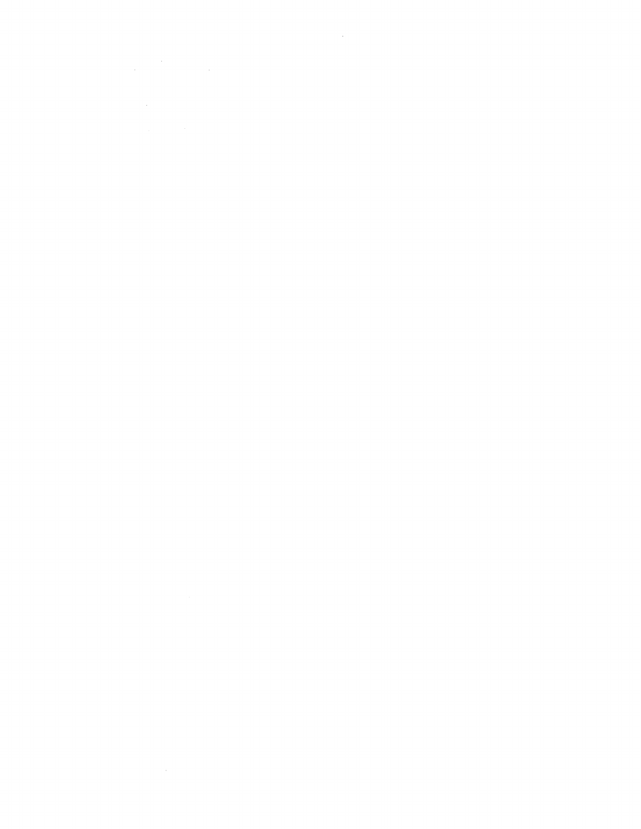$\mathcal{L}^{\text{max}}_{\text{max}}$  .

 $\label{eq:2.1} \frac{1}{\sqrt{2\pi}}\int_{\mathbb{R}^3}\frac{d\mu}{\sqrt{2\pi}}\left(\frac{d\mu}{\mu}\right)^2\frac{d\mu}{\sqrt{2\pi}}\frac{d\mu}{\sqrt{2\pi}}\frac{d\mu}{\sqrt{2\pi}}\frac{d\mu}{\sqrt{2\pi}}\frac{d\mu}{\sqrt{2\pi}}\frac{d\mu}{\sqrt{2\pi}}\frac{d\mu}{\sqrt{2\pi}}\frac{d\mu}{\sqrt{2\pi}}\frac{d\mu}{\sqrt{2\pi}}\frac{d\mu}{\sqrt{2\pi}}\frac{d\mu}{\sqrt{2\pi}}\frac{d\$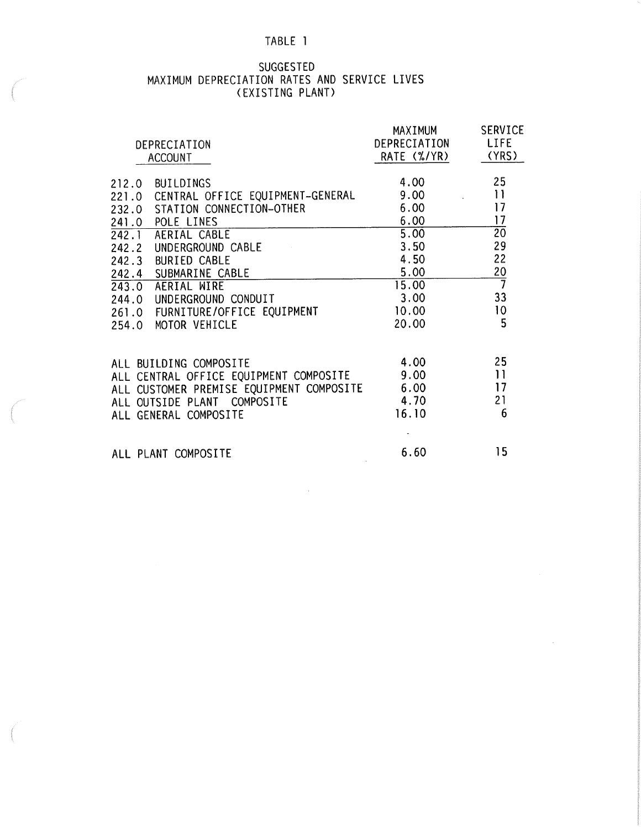# TABLE l

### SUGGESTED MAXIMUM DEPRECIATION RATES AND SERVICE LIVES (EXISTING PLANT)

| DEPRECIATION<br><b>ACCOUNT</b>                | MAXIMUM<br>DEPRECIATION<br>RATE (%/YR) | <b>SERVICE</b><br><b>LIFE</b><br>(YRS) |
|-----------------------------------------------|----------------------------------------|----------------------------------------|
| 212.0 BUILDINGS                               | 4.00                                   | 25                                     |
| 221.0 CENTRAL OFFICE EQUIPMENT-GENERAL        | 9.00                                   | $\overline{11}$                        |
| 232.0 STATION CONNECTION-OTHER                | 6.00                                   | 17                                     |
| 241.0 POLE LINES                              | 6.00                                   | 17                                     |
| 242.1 AERIAL CABLE                            | 5.00                                   | $\overline{20}$                        |
| 242.2 UNDERGROUND CABLE                       | 3.50                                   | 29                                     |
| 242.3 BURIED CABLE                            | 4.50                                   | 22                                     |
| 242.4 SUBMARINE CABLE                         | 5.00                                   | 20                                     |
| 243.0 AERIAL WIRE                             | 15.00                                  | $\bar{\bar{7}}$                        |
| 244.0 UNDERGROUND CONDUIT                     | 3.00                                   | 33                                     |
| 261.0 FURNITURE/OFFICE EQUIPMENT              | 10.00                                  | 10                                     |
| 254.0 MOTOR VEHICLE                           | 20.00                                  | 5                                      |
| ALL BUILDING COMPOSITE                        | 4.00                                   | 25                                     |
| ALL CENTRAL OFFICE EQUIPMENT COMPOSITE 9.00   |                                        | $\overline{11}$                        |
| ALL CUSTOMER PREMISE EQUIPMENT COMPOSITE 6.00 |                                        | 17                                     |
| 4.70<br>ALL OUTSIDE PLANT COMPOSITE           |                                        | 21                                     |
| ALL GENERAL COMPOSITE                         | 16.10                                  | 6                                      |
| ALL PLANT COMPOSITE                           | 6.60                                   | 15                                     |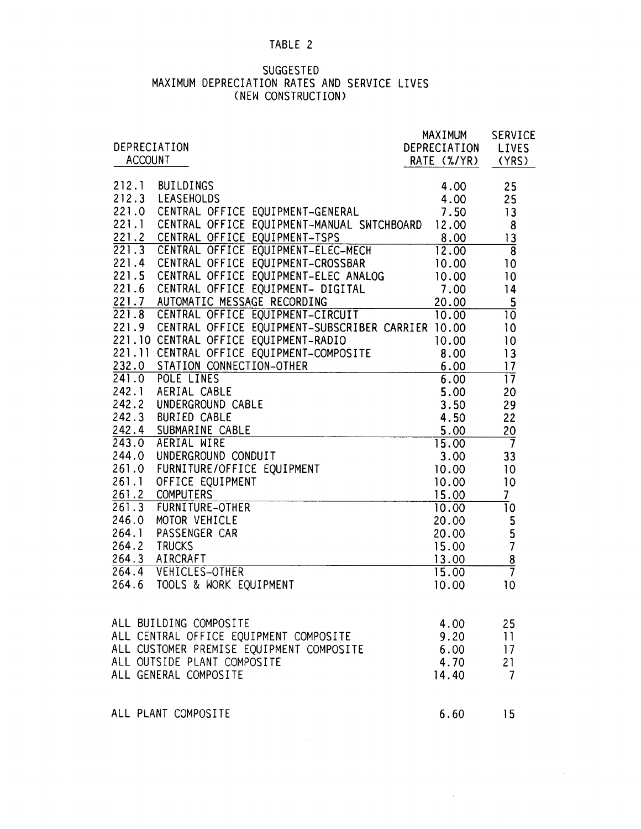# TABLE 2

## SUGGESTED MAXIMUM DEPRECIATION RATES AND SERVICE LIVES (NEW CONSTRUCTION)

|                |                                                         | <b>MAXIMUM</b> | <b>SERVICE</b>            |
|----------------|---------------------------------------------------------|----------------|---------------------------|
| DEPRECIATION   |                                                         | DEPRECIATION   | LIVES                     |
| <b>ACCOUNT</b> |                                                         | RATE (%/YR)    | (YRS)                     |
|                |                                                         |                |                           |
|                | 212.1 BUILDINGS                                         | 4.00           | 25                        |
|                | 212.3 LEASEHOLDS                                        | 4.00           | 25                        |
|                | 221.0 CENTRAL OFFICE EQUIPMENT-GENERAL                  | 7.50           | 13                        |
|                | 221.1 CENTRAL OFFICE EQUIPMENT-MANUAL SWTCHBOARD        | 12.00          | 8                         |
|                | 221.2 CENTRAL OFFICE EQUIPMENT-TSPS                     | 8.00           | 13                        |
|                | 221.3 CENTRAL OFFICE EQUIPMENT-ELEC-MECH                | 12.00          | $\overline{\bf 8}$        |
|                | 221.4 CENTRAL OFFICE EQUIPMENT-CROSSBAR                 | 10.00          | 10                        |
|                | 221.5 CENTRAL OFFICE EQUIPMENT-ELEC ANALOG              | 10.00          | 10                        |
|                | 221.6 CENTRAL OFFICE EQUIPMENT- DIGITAL                 | 7.00           | 14                        |
|                | 221.7 AUTOMATIC MESSAGE RECORDING                       |                |                           |
|                |                                                         | 20.00          | 5                         |
|                | 221.8 CENTRAL OFFICE EQUIPMENT-CIRCUIT                  | 10.00          | $\overline{10}$           |
|                | 221.9 CENTRAL OFFICE EQUIPMENT-SUBSCRIBER CARRIER 10.00 |                | 10                        |
|                | 221.10 CENTRAL OFFICE EQUIPMENT-RADIO                   | 10.00          | 10                        |
|                | 221.11 CENTRAL OFFICE EQUIPMENT-COMPOSITE               | 8.00           | 13                        |
|                | 232.0 STATION CONNECTION-OTHER                          | 6.00           | 17                        |
|                | 241.0 POLE LINES                                        | 6.00           | $\overline{17}$           |
|                | 242.1 AERIAL CABLE                                      | 5.00           | 20                        |
|                | 242.2 UNDERGROUND CABLE                                 | 3.50           | 29                        |
|                | 242.3 BURIED CABLE                                      | 4.50           | 22                        |
|                | 242.4 SUBMARINE CABLE                                   | 5.00           | 20                        |
|                | 243.0 AERIAL WIRE                                       | 15.00          | $\overline{\overline{7}}$ |
|                | 244.0 UNDERGROUND CONDUIT                               | 3.00           | 33                        |
|                | 261.0 FURNITURE/OFFICE EQUIPMENT                        | 10.00          | 10                        |
|                | 261.1 OFFICE EQUIPMENT                                  | 10.00          | 10                        |
|                | 261.2 COMPUTERS                                         | 15.00          | $\overline{7}$            |
|                | 261.3 FURNITURE-OTHER                                   | 10.00          | 10                        |
|                | 246.0 MOTOR VEHICLE                                     | 20.00          |                           |
|                | 264.1 PASSENGER CAR                                     | 20.00          | 5<br>5<br>7               |
| 264.2 TRUCKS   |                                                         | 15.00          |                           |
|                | 264.3 AIRCRAFT                                          | 13.00          |                           |
|                | 264.4 VEHICLES-OTHER                                    | 15.00          | $\frac{8}{7}$             |
|                | 264.6 TOOLS & WORK EQUIPMENT                            |                |                           |
|                |                                                         | 10.00          | 10                        |
|                |                                                         |                |                           |
|                |                                                         |                |                           |
|                | ALL BUILDING COMPOSITE                                  | 4.00           | 25                        |
|                | ALL CENTRAL OFFICE EQUIPMENT COMPOSITE                  | 9.20           | 11                        |
|                | ALL CUSTOMER PREMISE EQUIPMENT COMPOSITE                | 6.00           | 17                        |
|                | ALL OUTSIDE PLANT COMPOSITE                             | 4.70           | 21                        |
|                | ALL GENERAL COMPOSITE                                   | 14.40          | $\overline{7}$            |
|                |                                                         |                |                           |
|                |                                                         |                |                           |
|                | ALL PLANT COMPOSITE                                     | 6.60           | 15                        |

 $\sim$ 

 $\hat{\mathcal{A}}$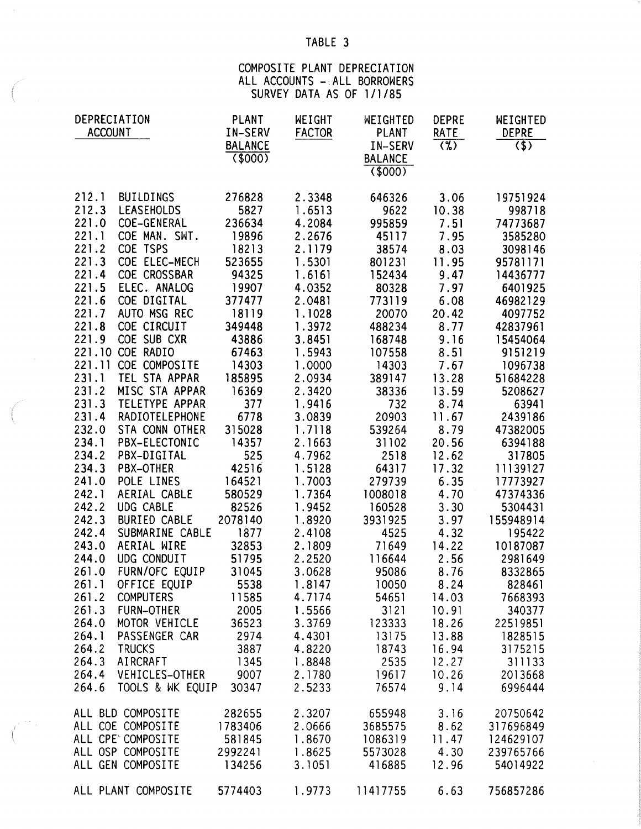# TABLE 3

### COMPOSITE PLANT DEPRECIATION ALL ACCOUNTS -.ALL BORROWERS SURVEY DATA AS OF 1/1/85

| DEPRECIATION<br><b>ACCOUNT</b> |                                  | <b>PLANT</b><br>IN-SERV  | WEIGHT<br><b>FACTOR</b> | WEIGHTED<br><b>PLANT</b>             | <b>DEPRE</b><br>RATE                | <b>WEIGHTED</b><br><b>DEPRE</b> |  |
|--------------------------------|----------------------------------|--------------------------|-------------------------|--------------------------------------|-------------------------------------|---------------------------------|--|
|                                |                                  | <b>BALANCE</b><br>(5000) |                         | IN-SERV<br><b>BALANCE</b><br>(\$000) | $\overline{\langle \gamma \rangle}$ | $\overline{3}$                  |  |
| 212.1                          | <b>BUILDINGS</b>                 | 276828                   | 2.3348                  | 646326                               | 3.06                                | 19751924                        |  |
| 212.3                          | <b>LEASEHOLDS</b>                | 5827                     | 1.6513                  | 9622                                 | 10.38                               | 998718                          |  |
| 221.0                          | COE-GENERAL                      | 236634                   | 4.2084                  | 995859                               | 7.51                                | 74773687                        |  |
| 221.1                          | COE MAN. SWT.                    | 19896                    | 2.2676                  | 45117                                | 7.95                                | 3585280                         |  |
| 221.2                          | COE TSPS                         | 18213                    | 2.1179                  | 38574                                | 8.03                                | 3098146                         |  |
| 221.3                          | COE ELEC-MECH                    | 523655                   | 1.5301                  | 801231                               | 11.95                               | 95781171                        |  |
| 221.4                          | COE CROSSBAR                     | 94325                    | 1.6161                  | 152434                               | 9.47                                | 14436777                        |  |
| 221.5                          | ELEC. ANALOG                     | 19907                    | 4.0352                  | 80328                                | 7.97                                | 6401925                         |  |
| 221.6                          | COE DIGITAL                      | 377477                   | 2.0481                  | 773119                               | 6.08                                | 46982129                        |  |
| 221.7                          | AUTO MSG REC                     | 18119                    | 1.1028                  | 20070                                | 20.42                               | 4097752                         |  |
| 221.8                          | COE CIRCUIT                      | 349448                   | 1.3972                  | 488234                               | 8.77                                | 42837961                        |  |
| 221.9                          | COE SUB CXR                      | 43886                    | 3.8451                  | 168748                               | 9.16                                | 15454064                        |  |
|                                | 221.10 COE RADIO                 | 67463                    | 1.5943                  | 107558                               | 8.51                                | 9151219                         |  |
|                                | 221.11 COE COMPOSITE             | 14303                    | 1.0000                  | 14303                                | 7.67                                | 1096738                         |  |
| 231.1                          | TEL STA APPAR                    | 185895                   | 2.0934                  | 389147                               | 13.28                               | 51684228                        |  |
| 231.2<br>231.3                 | MISC STA APPAR<br>TELETYPE APPAR | 16369                    | 2.3420<br>1.9416        | 38336<br>732                         | 13.59<br>8.74                       | 5208627                         |  |
| 231.4                          | RADIOTELEPHONE                   | 377<br>6778              | 3.0839                  | 20903                                | 11.67                               | 63941<br>2439186                |  |
| 232.0                          | STA CONN OTHER                   | 315028                   | 1.7118                  | 539264                               | 8.79                                | 47382005                        |  |
| 234.1                          | PBX-ELECTONIC                    | 14357                    | 2.1663                  | 31102                                | 20.56                               | 6394188                         |  |
| 234.2                          | PBX-DIGITAL                      | 525                      | 4.7962                  | 2518                                 | 12.62                               | 317805                          |  |
| 234.3                          | <b>PBX-OTHER</b>                 | 42516                    | 1.5128                  | 64317                                | 17.32                               | 11139127                        |  |
| 241.0                          | POLE LINES                       | 164521                   | 1.7003                  | 279739                               | 6.35                                | 17773927                        |  |
| 242.1                          | AERIAL CABLE                     | 580529                   | 1.7364                  | 1008018                              | 4.70                                | 47374336                        |  |
| 242.2                          | <b>UDG CABLE</b>                 | 82526                    | 1.9452                  | 160528                               | 3.30                                | 5304431                         |  |
| 242.3                          | <b>BURIED CABLE</b>              | 2078140                  | 1.8920                  | 3931925                              | 3.97                                | 155948914                       |  |
| 242.4                          | SUBMARINE CABLE                  | 1877                     | 2.4108                  | 4525                                 | 4.32                                | 195422                          |  |
| 243.0                          | AERIAL WIRE                      | 32853                    | 2.1809                  | 71649                                | 14.22                               | 10187087                        |  |
| 244.0                          | UDG CONDUIT                      | 51795                    | 2.2520                  | 116644                               | 2.56                                | 2981649                         |  |
| 261.0                          | FURN/OFC EQUIP                   | 31045                    | 3.0628                  | 95086                                | 8.76                                | 8332865                         |  |
|                                | 261.1 OFFICE EQUIP               | 5538                     | 1.8147                  | 10050                                | 8.24                                | 828461                          |  |
| 261.2                          | <b>COMPUTERS</b>                 | 11585                    | 4.7174                  | 54651                                | 14.03                               | 7668393                         |  |
| 261.3                          | <b>FURN-OTHER</b>                | 2005                     | 1.5566                  | 3121                                 | 10.91                               | 340377                          |  |
| 264.0                          | MOTOR VEHICLE                    | 36523                    | 3.3769                  | 123333                               | 18.26                               | 22519851                        |  |
| 264.1                          | PASSENGER CAR                    | 2974                     | 4.4301                  | 13175                                | 13.88                               | 1828515                         |  |
| 264.2                          | <b>TRUCKS</b>                    | 3887                     | 4.8220                  | 18743                                | 16.94                               | 3175215                         |  |
| 264.3                          | AIRCRAFT                         | 1345                     | 1.8848                  | 2535                                 | 12.27                               | 311133                          |  |
| 264.4                          | <b>VEHICLES-OTHER</b>            | 9007                     | 2.1780                  | 19617                                | 10.26                               | 2013668                         |  |
| 264.6                          | TOOLS & WK EQUIP                 | 30347                    | 2.5233                  | 76574                                | 9.14                                | 6996444                         |  |
|                                | ALL BLD COMPOSITE                | 282655                   | 2.3207                  | 655948                               | 3.16                                | 20750642                        |  |
|                                | ALL COE COMPOSITE                | 1783406                  | 2.0666                  | 3685575                              | 8.62                                | 317696849                       |  |
|                                | ALL CPE COMPOSITE                | 581845                   | 1.8670                  | 1086319                              | 11.47                               | 124629107                       |  |
|                                | ALL OSP COMPOSITE                | 2992241                  | 1.8625                  | 5573028                              | 4.30                                | 239765766                       |  |
|                                | ALL GEN COMPOSITE                | 134256                   | 3.1051                  | 416885                               | 12.96                               | 54014922                        |  |
|                                | ALL PLANT COMPOSITE              | 5774403                  | 1.9773                  | 11417755                             | 6.63                                | 756857286                       |  |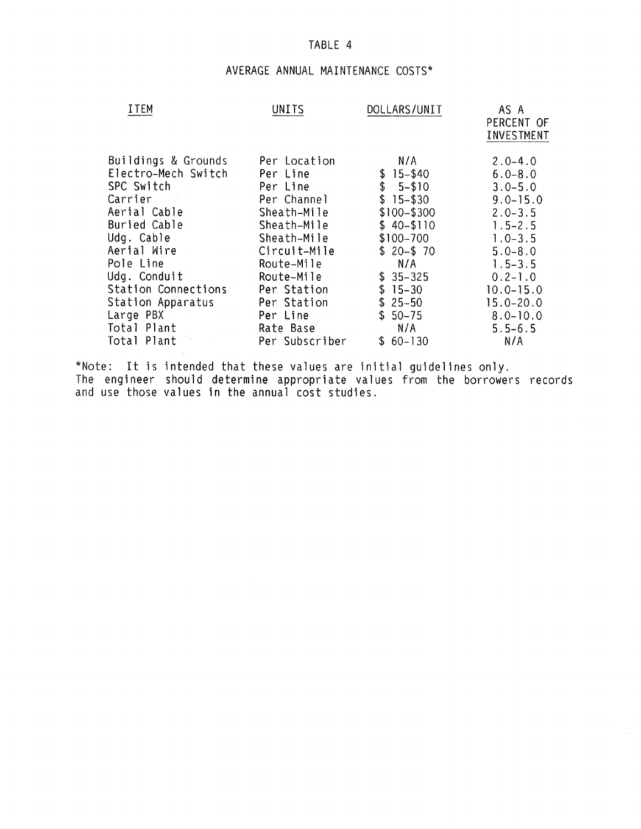### TABLE 4

## AVERAGE ANNUAL MAINTENANCE COSTS\*

| <b>ITEM</b>         | UNITS          | DOLLARS/UNIT  | AS A<br>PERCENT OF<br>INVESTMENT |
|---------------------|----------------|---------------|----------------------------------|
| Buildings & Grounds | Per Location   | N/A           | $2.0 - 4.0$                      |
| Electro-Mech Switch | Per Line       | $$15-$40$     | $6.0 - 8.0$                      |
| SPC Switch          | Per Line       | $$5 - $10$    | $3.0 - 5.0$                      |
| Carrier             | Per Channel    | $$15 - $30$   | $9.0 - 15.0$                     |
| Aerial Cable        | Sheath-Mile    | $$100 - $300$ | $2.0 - 3.5$                      |
| Buried Cable        | Sheath-Mile    | $$40-110$     | $1.5 - 2.5$                      |
| Udg. Cable          | Sheath-Mile    | $$100 - 700$  | $1.0 - 3.5$                      |
| Aerial Wire         | Circuit-Mile   | $$20-$70$     | $5.0 - 8.0$                      |
| Pole Line           | Route-Mile     | N/A           | $1.5 - 3.5$                      |
| Udg. Conduit        | Route-Mile     | $$35-325$     | $0.2 - 1.0$                      |
| Station Connections | Per Station    | $$15-30$      | $10.0 - 15.0$                    |
| Station Apparatus   | Per Station    | $$25-50$      | $15.0 - 20.0$                    |
| Large PBX           | Per Line       | $$50-75$      | $8.0 - 10.0$                     |
| Total Plant         | Rate Base      | N/A           | $5.5 - 6.5$                      |
| Total Plant         | Per Subscriber | $$60-130$     | N/A                              |

\*Note: It is intended that these values are initial guidelines only. The engineer should determine appropriate values from the borrowers records and use those values in the annual cost studies.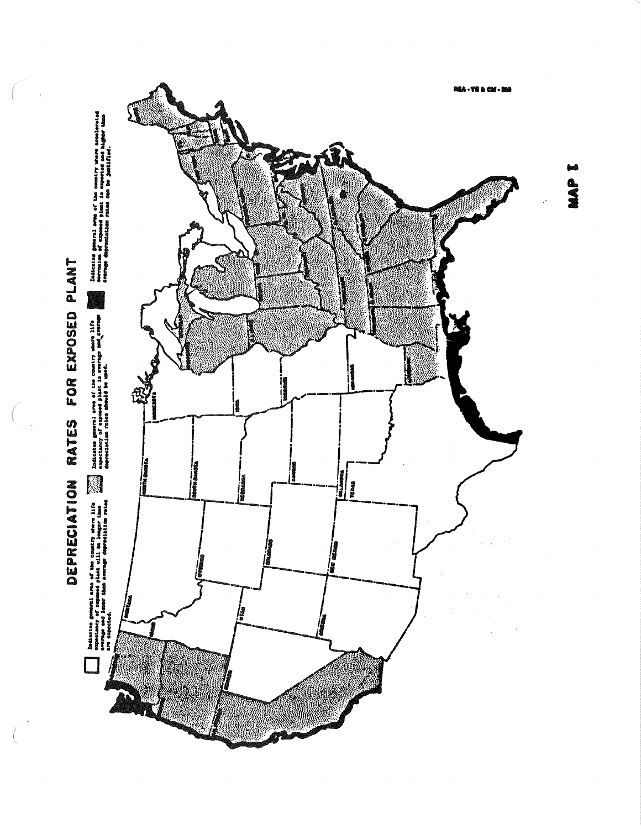